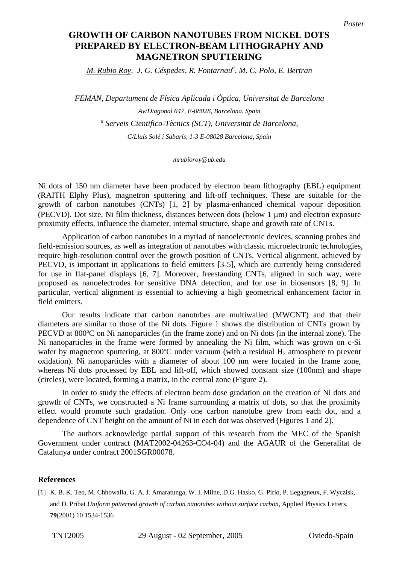## **PREPARED BY ELECTRON-BEAM LITHOGRAPHY AND magnetron sputtering MAGNETRON SPUTTERING GROWTH OF CARBON NANOTUBES FROM NICKEL DOTS**

*M. Rubio Roy, J. G. Céspedes, R. Fontarnau<sup>a</sup>, M. C. Polo, E. Bertran* 

*FEMAN, Departament de Física Aplicada i Òptica, Universitat de Barcelona Av/Diagonal 647, E-08028, Barcelona, Spain a Serveis Cientifico-Tècnics (SCT), Universitat de Barcelona, C/Lluís Solé i Sabarís, 1-3 E-08028 Barcelona, Spain* 

*mrubioroy@ub.edu* 

Ni dots of 150 nm diameter have been produced by electron beam lithography (EBL) equipment (RAITH Elphy Plus), magnetron sputtering and lift-off techniques. These are suitable for the growth of carbon nanotubes (CNTs) [1, 2] by plasma-enhanced chemical vapour deposition (PECVD). Dot size, Ni film thickness, distances between dots (below 1 μm) and electron exposure proximity effects, influence the diameter, internal structure, shape and growth rate of CNTs.

Application of carbon nanotubes in a myriad of nanoelectronic devices, scanning probes and field-emission sources, as well as integration of nanotubes with classic microelectronic technologies, require high-resolution control over the growth position of CNTs. Vertical alignment, achieved by PECVD, is important in applications to field emitters [3-5], which are currently being considered for use in flat-panel displays [6, 7]. Moreover, freestanding CNTs, aligned in such way, were proposed as nanoelectrodes for sensitive DNA detection, and for use in biosensors [8, 9]. In particular, vertical alignment is essential to achieving a high geometrical enhancement factor in field emitters.

Our results indicate that carbon nanotubes are multiwalled (MWCNT) and that their diameters are similar to those of the Ni dots. Figure 1 shows the distribution of CNTs grown by PECVD at 800ºC on Ni nanoparticles (in the frame zone) and on Ni dots (in the internal zone). The Ni nanoparticles in the frame were formed by annealing the Ni film, which was grown on c-Si wafer by magnetron sputtering, at 800 $^{\circ}$ C under vacuum (with a residual H<sub>2</sub> atmosphere to prevent oxidation). Ni nanoparticles with a diameter of about 100 nm were located in the frame zone, whereas Ni dots processed by EBL and lift-off, which showed constant size (100nm) and shape (circles), were located, forming a matrix, in the central zone (Figure 2).

In order to study the effects of electron beam dose gradation on the creation of Ni dots and growth of CNTs, we constructed a Ni frame surrounding a matrix of dots, so that the proximity effect would promote such gradation. Only one carbon nanotube grew from each dot, and a dependence of CNT height on the amount of Ni in each dot was observed (Figures 1 and 2).

The authors acknowledge partial support of this research from the MEC of the Spanish Government under contract (MAT2002-04263-CO4-04) and the AGAUR of the Generalitat de Catalunya under contract 2001SGR00078.

## **References**

[1] K. B. K. Teo, M. Chhowalla, G. A. J. Amaratunga, W. I. Milne, D.G. Hasko, G. Pirio, P. Legagneux, F. Wyczisk, and D. Pribat *Uniform patterned growth of carbon nanotubes without surface carbon*, Applied Physics Letters, **79**(2001) 10 1534-1536